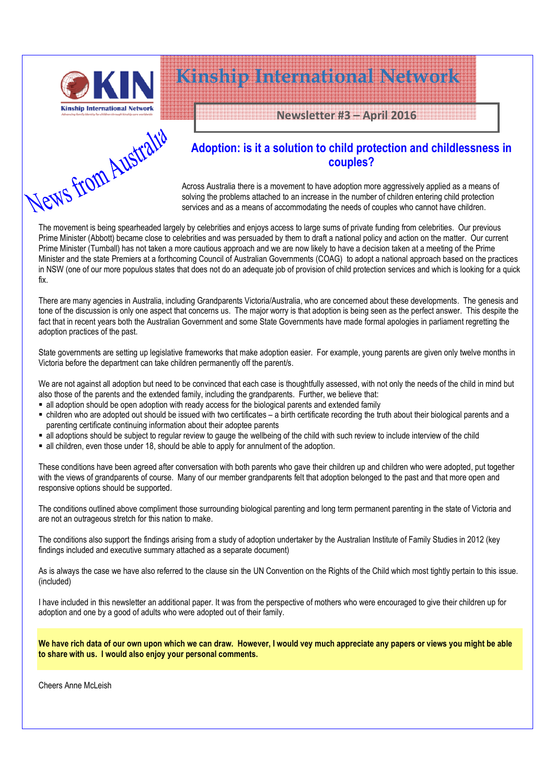

### Adoption: is it a solution to child protection and childlessness in couples?

Newsletter #3 – April 2016

Across Australia there is a movement to have adoption more aggressively applied as a means of solving the problems attached to an increase in the number of children entering child protection services and as a means of accommodating the needs of couples who cannot have children. THE MARE THE movement is being spearheaded largely by celebrities and enjoys access to large sums of private funding from celebrities. Our previous<br>The movement is being spearheaded largely by celebrities and enjoys access

Kinship International Network

Prime Minister (Abbott) became close to celebrities and was persuaded by them to draft a national policy and action on the matter. Our current Prime Minister (Turnball) has not taken a more cautious approach and we are now likely to have a decision taken at a meeting of the Prime Minister and the state Premiers at a forthcoming Council of Australian Governments (COAG) to adopt a national approach based on the practices in NSW (one of our more populous states that does not do an adequate job of provision of child protection services and which is looking for a quick fix.

There are many agencies in Australia, including Grandparents Victoria/Australia, who are concerned about these developments. The genesis and tone of the discussion is only one aspect that concerns us. The major worry is that adoption is being seen as the perfect answer. This despite the fact that in recent years both the Australian Government and some State Governments have made formal apologies in parliament regretting the adoption practices of the past.

State governments are setting up legislative frameworks that make adoption easier. For example, young parents are given only twelve months in Victoria before the department can take children permanently off the parent/s.

We are not against all adoption but need to be convinced that each case is thoughtfully assessed, with not only the needs of the child in mind but also those of the parents and the extended family, including the grandparents. Further, we believe that:

- all adoption should be open adoption with ready access for the biological parents and extended family
- children who are adopted out should be issued with two certificates a birth certificate recording the truth about their biological parents and a parenting certificate continuing information about their adoptee parents
- all adoptions should be subject to regular review to gauge the wellbeing of the child with such review to include interview of the child
- all children, even those under 18, should be able to apply for annulment of the adoption.

These conditions have been agreed after conversation with both parents who gave their children up and children who were adopted, put together with the views of grandparents of course. Many of our member grandparents felt that adoption belonged to the past and that more open and responsive options should be supported.

The conditions outlined above compliment those surrounding biological parenting and long term permanent parenting in the state of Victoria and are not an outrageous stretch for this nation to make.

The conditions also support the findings arising from a study of adoption undertaker by the Australian Institute of Family Studies in 2012 (key findings included and executive summary attached as a separate document)

As is always the case we have also referred to the clause sin the UN Convention on the Rights of the Child which most tightly pertain to this issue. (included)

I have included in this newsletter an additional paper. It was from the perspective of mothers who were encouraged to give their children up for adoption and one by a good of adults who were adopted out of their family.

We have rich data of our own upon which we can draw. However, I would vey much appreciate any papers or views you might be able to share with us. I would also enjoy your personal comments.

Cheers Anne McLeish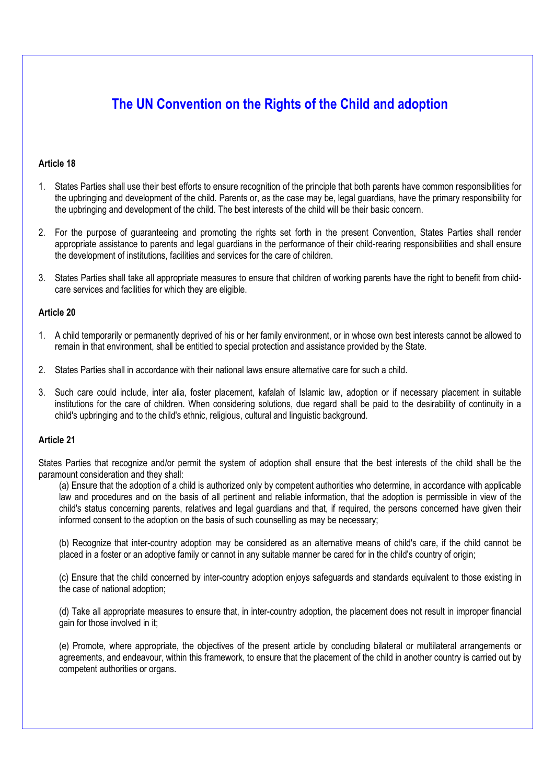# The UN Convention on the Rights of the Child and adoption

### Article 18

- 1. States Parties shall use their best efforts to ensure recognition of the principle that both parents have common responsibilities for the upbringing and development of the child. Parents or, as the case may be, legal guardians, have the primary responsibility for the upbringing and development of the child. The best interests of the child will be their basic concern.
- 2. For the purpose of guaranteeing and promoting the rights set forth in the present Convention, States Parties shall render appropriate assistance to parents and legal guardians in the performance of their child-rearing responsibilities and shall ensure the development of institutions, facilities and services for the care of children.
- 3. States Parties shall take all appropriate measures to ensure that children of working parents have the right to benefit from childcare services and facilities for which they are eligible.

#### Article 20

- 1. A child temporarily or permanently deprived of his or her family environment, or in whose own best interests cannot be allowed to remain in that environment, shall be entitled to special protection and assistance provided by the State.
- 2. States Parties shall in accordance with their national laws ensure alternative care for such a child.
- 3. Such care could include, inter alia, foster placement, kafalah of Islamic law, adoption or if necessary placement in suitable institutions for the care of children. When considering solutions, due regard shall be paid to the desirability of continuity in a child's upbringing and to the child's ethnic, religious, cultural and linguistic background.

#### Article 21

States Parties that recognize and/or permit the system of adoption shall ensure that the best interests of the child shall be the paramount consideration and they shall:

(a) Ensure that the adoption of a child is authorized only by competent authorities who determine, in accordance with applicable law and procedures and on the basis of all pertinent and reliable information, that the adoption is permissible in view of the child's status concerning parents, relatives and legal guardians and that, if required, the persons concerned have given their informed consent to the adoption on the basis of such counselling as may be necessary;

(b) Recognize that inter-country adoption may be considered as an alternative means of child's care, if the child cannot be placed in a foster or an adoptive family or cannot in any suitable manner be cared for in the child's country of origin;

(c) Ensure that the child concerned by inter-country adoption enjoys safeguards and standards equivalent to those existing in the case of national adoption;

(d) Take all appropriate measures to ensure that, in inter-country adoption, the placement does not result in improper financial gain for those involved in it;

(e) Promote, where appropriate, the objectives of the present article by concluding bilateral or multilateral arrangements or agreements, and endeavour, within this framework, to ensure that the placement of the child in another country is carried out by competent authorities or organs.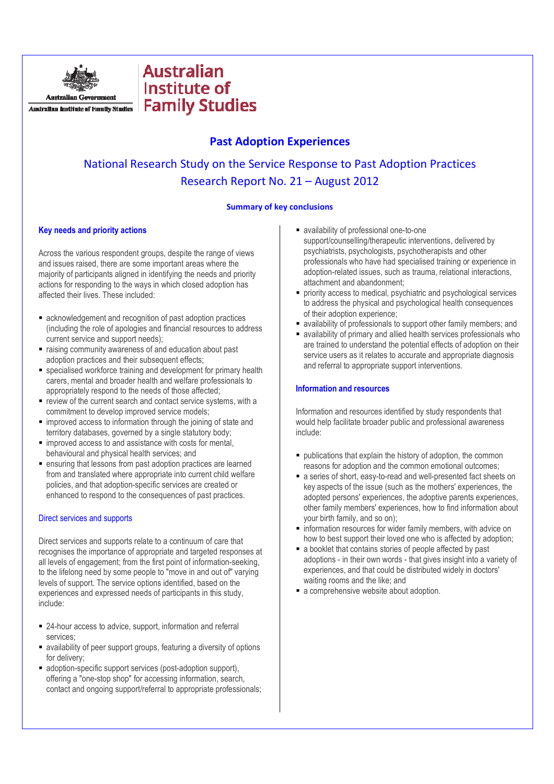

# **Australian** Institute of **Family Studies**

### Past Adoption Experiences

## National Research Study on the Service Response to Past Adoption Practices Research Report No. 21 – August 2012

#### Summary of key conclusions

### Key needs and priority actions

Across the various respondent groups, despite the range of views and issues raised, there are some important areas where the majority of participants aligned in identifying the needs and priority actions for responding to the ways in which closed adoption has affected their lives. These included:

- acknowledgement and recognition of past adoption practices (including the role of apologies and financial resources to address current service and support needs);
- raising community awareness of and education about past adoption practices and their subsequent effects;
- specialised workforce training and development for primary health carers, mental and broader health and welfare professionals to appropriately respond to the needs of those affected;
- $\blacksquare$  review of the current search and contact service systems, with a commitment to develop improved service models;
- improved access to information through the joining of state and territory databases, governed by a single statutory body;
- improved access to and assistance with costs for mental, behavioural and physical health services; and
- **EXECUTE:** ensuring that lessons from past adoption practices are learned from and translated where appropriate into current child welfare policies, and that adoption-specific services are created or enhanced to respond to the consequences of past practices.

#### Direct services and supports

Direct services and supports relate to a continuum of care that recognises the importance of appropriate and targeted responses at all levels of engagement; from the first point of information-seeking, to the lifelong need by some people to "move in and out of" varying levels of support. The service options identified, based on the experiences and expressed needs of participants in this study, include:

- 24-hour access to advice, support, information and referral services;
- availability of peer support groups, featuring a diversity of options for delivery;
- adoption-specific support services (post-adoption support), offering a "one-stop shop" for accessing information, search, contact and ongoing support/referral to appropriate professionals;
- availability of professional one-to-one support/counselling/therapeutic interventions, delivered by psychiatrists, psychologists, psychotherapists and other professionals who have had specialised training or experience in adoption-related issues, such as trauma, relational interactions, attachment and abandonment;
- **priority access to medical, psychiatric and psychological services** to address the physical and psychological health consequences of their adoption experience;
- availability of professionals to support other family members; and
- availability of primary and allied health services professionals who are trained to understand the potential effects of adoption on their service users as it relates to accurate and appropriate diagnosis and referral to appropriate support interventions.

### Information and resources

Information and resources identified by study respondents that would help facilitate broader public and professional awareness include:

- **publications that explain the history of adoption, the common** reasons for adoption and the common emotional outcomes;
- a series of short, easy-to-read and well-presented fact sheets on key aspects of the issue (such as the mothers' experiences, the adopted persons' experiences, the adoptive parents experiences, other family members' experiences, how to find information about your birth family, and so on);
- **n** information resources for wider family members, with advice on how to best support their loved one who is affected by adoption;
- a booklet that contains stories of people affected by past adoptions - in their own words - that gives insight into a variety of experiences, and that could be distributed widely in doctors' waiting rooms and the like; and
- a comprehensive website about adoption.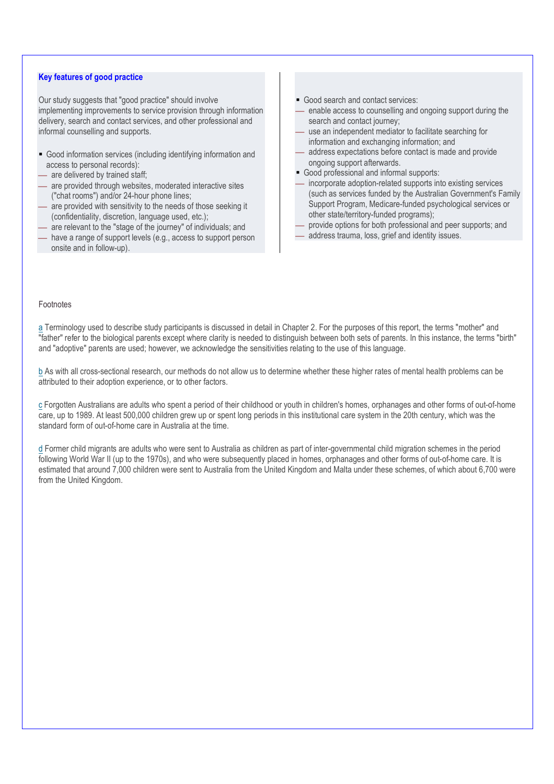#### Key features of good practice

Our study suggests that "good practice" should involve implementing improvements to service provision through information delivery, search and contact services, and other professional and informal counselling and supports.

- Good information services (including identifying information and access to personal records):
- are delivered by trained staff:
- are provided through websites, moderated interactive sites ("chat rooms") and/or 24-hour phone lines;
- are provided with sensitivity to the needs of those seeking it (confidentiality, discretion, language used, etc.);
- are relevant to the "stage of the journey" of individuals; and
- have a range of support levels (e.g., access to support person onsite and in follow-up).
- Good search and contact services:
- $-$  enable access to counselling and ongoing support during the search and contact journey;
- use an independent mediator to facilitate searching for information and exchanging information; and
- address expectations before contact is made and provide ongoing support afterwards.
- Good professional and informal supports:
- incorporate adoption-related supports into existing services (such as services funded by the Australian Government's Family Support Program, Medicare-funded psychological services or other state/territory-funded programs);
- provide options for both professional and peer supports; and
- address trauma, loss, grief and identity issues.

#### Footnotes

a Terminology used to describe study participants is discussed in detail in Chapter 2. For the purposes of this report, the terms "mother" and "father" refer to the biological parents except where clarity is needed to distinguish between both sets of parents. In this instance, the terms "birth" and "adoptive" parents are used; however, we acknowledge the sensitivities relating to the use of this language.

b As with all cross-sectional research, our methods do not allow us to determine whether these higher rates of mental health problems can be attributed to their adoption experience, or to other factors.

c Forgotten Australians are adults who spent a period of their childhood or youth in children's homes, orphanages and other forms of out-of-home care, up to 1989. At least 500,000 children grew up or spent long periods in this institutional care system in the 20th century, which was the standard form of out-of-home care in Australia at the time.

d Former child migrants are adults who were sent to Australia as children as part of inter-governmental child migration schemes in the period following World War II (up to the 1970s), and who were subsequently placed in homes, orphanages and other forms of out-of-home care. It is estimated that around 7,000 children were sent to Australia from the United Kingdom and Malta under these schemes, of which about 6,700 were from the United Kingdom.